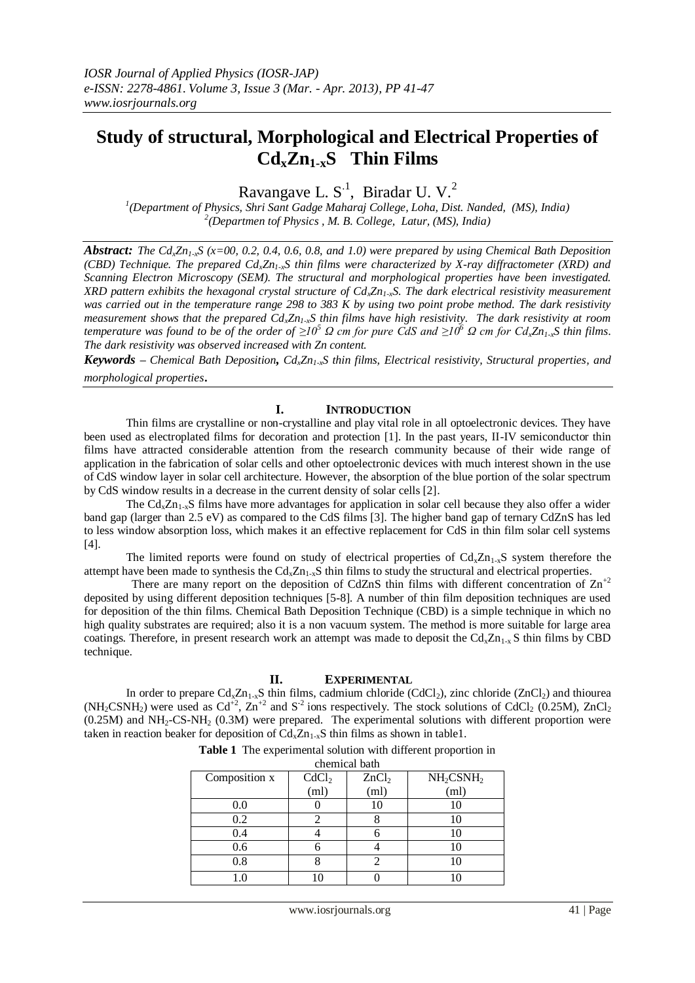# **Study of structural, Morphological and Electrical Properties of CdxZn1-xS Thin Films**

Ravangave L.  $S<sup>1</sup>$ , Biradar U. V.<sup>2</sup>

*1 (Department of Physics, Shri Sant Gadge Maharaj College, Loha, Dist. Nanded, (MS), India) 2 (Departmen tof Physics , M. B. College, Latur, (MS), India)*

*Abstract: The*  $Cd$ <sub>*x*</sub> $Zn$ <sub>*1*</sub>,  $S$  ( $x=00$ , 0.2, 0.4, 0.6, 0.8, and 1.0) were prepared by using Chemical Bath Deposition *(CBD) Technique. The prepared CdxZn1-xS thin films were characterized by X-ray diffractometer (XRD) and Scanning Electron Microscopy (SEM). The structural and morphological properties have been investigated. XRD pattern exhibits the hexagonal crystal structure of CdxZn1-xS. The dark electrical resistivity measurement was carried out in the temperature range 298 to 383 K by using two point probe method. The dark resistivity measurement shows that the prepared CdxZn1-xS thin films have high resistivity. The dark resistivity at room temperature was found to be of the order of*  $\geq l$  *θ Ω cm for pure CdS and*  $\geq l$  *θ Ω cm for Cd<sub><i>i*</sub>Zn<sub>*1*-x</sub>S thin films. *The dark resistivity was observed increased with Zn content.*

*Keywords – Chemical Bath Deposition, CdxZn1-xS thin films, Electrical resistivity, Structural properties, and morphological properties*.

## **I. INTRODUCTION**

Thin films are crystalline or non-crystalline and play vital role in all optoelectronic devices. They have been used as electroplated films for decoration and protection [1]. In the past years, II-IV semiconductor thin films have attracted considerable attention from the research community because of their wide range of application in the fabrication of solar cells and other optoelectronic devices with much interest shown in the use of CdS window layer in solar cell architecture. However, the absorption of the blue portion of the solar spectrum by CdS window results in a decrease in the current density of solar cells [2].

The  $Cd<sub>x</sub>Zn<sub>1-x</sub>S$  films have more advantages for application in solar cell because they also offer a wider band gap (larger than 2.5 eV) as compared to the CdS films [3]. The higher band gap of ternary CdZnS has led to less window absorption loss, which makes it an effective replacement for CdS in thin film solar cell systems [4].

The limited reports were found on study of electrical properties of  $Cd\overline{z}n_1\overline{z}S$  system therefore the attempt have been made to synthesis the  $Cd<sub>x</sub>Zn<sub>1-x</sub>S$  thin films to study the structural and electrical properties.

There are many report on the deposition of CdZnS thin films with different concentration of  $\text{Zn}^{+2}$ deposited by using different deposition techniques [5-8]. A number of thin film deposition techniques are used for deposition of the thin films. Chemical Bath Deposition Technique (CBD) is a simple technique in which no high quality substrates are required; also it is a non vacuum system. The method is more suitable for large area coatings. Therefore, in present research work an attempt was made to deposit the  $Cd_xZn_{1-x}S$  thin films by CBD technique.

### **II. EXPERIMENTAL**

In order to prepare  $Cd_xZn_{1-x}S$  thin films, cadmium chloride (CdCl<sub>2</sub>), zinc chloride (ZnCl<sub>2</sub>) and thiourea  $(NH<sub>2</sub>CSNH<sub>2</sub>)$  were used as  $Cd<sup>2</sup>$ ,  $Zn<sup>2</sup>$  and  $S<sup>2</sup>$  ions respectively. The stock solutions of  $CdCl<sub>2</sub> (0.25M)$ ,  $ZnCl<sub>2</sub>$ (0.25M) and NH2-CS-NH<sup>2</sup> (0.3M) were prepared. The experimental solutions with different proportion were taken in reaction beaker for deposition of  $Cd_xZn_{1-x}S$  thin films as shown in table1.

**Table 1** The experimental solution with different proportion in

| chemical bath |                   |                   |                                   |  |  |  |  |
|---------------|-------------------|-------------------|-----------------------------------|--|--|--|--|
| Composition x | CdCl <sub>2</sub> | ZnCl <sub>2</sub> | NH <sub>2</sub> CSNH <sub>2</sub> |  |  |  |  |
|               | (ml)              | (ml)              | (ml)                              |  |  |  |  |
| $0.0\,$       |                   |                   |                                   |  |  |  |  |
| 0.2           |                   |                   |                                   |  |  |  |  |
| 0.4           |                   |                   |                                   |  |  |  |  |
| 0.6           |                   |                   |                                   |  |  |  |  |
| 0.8           |                   | ∍                 |                                   |  |  |  |  |
|               |                   |                   |                                   |  |  |  |  |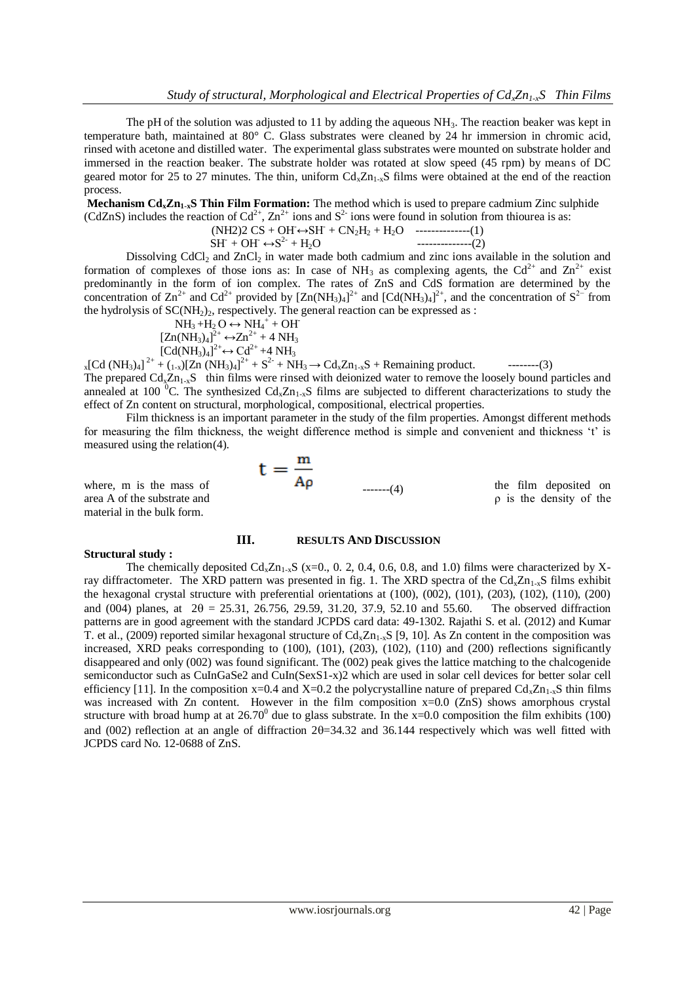The pH of the solution was adjusted to 11 by adding the aqueous  $NH<sub>3</sub>$ . The reaction beaker was kept in temperature bath, maintained at 80° C. Glass substrates were cleaned by 24 hr immersion in chromic acid, rinsed with acetone and distilled water. The experimental glass substrates were mounted on substrate holder and immersed in the reaction beaker. The substrate holder was rotated at slow speed (45 rpm) by means of DC geared motor for 25 to 27 minutes. The thin, uniform  $Cd_{\nu}Zn_{1-\nu}S$  films were obtained at the end of the reaction process.

**Mechanism CdxZn1-xS Thin Film Formation:** The method which is used to prepare cadmium Zinc sulphide (CdZnS) includes the reaction of Cd<sup>2+</sup>, Zn<sup>2+</sup> ions and S<sup>2-</sup> ions were found in solution from thiourea is as:

$$
(NH2)2 CS + QH \leftrightarrow SH + CN2H2 + H2O
$$
 (1)

 $SH + OH \leftrightarrow S^{2-} + H_2O$  $------(2)$ 

Dissolving  $CdCl<sub>2</sub>$  and  $ZnCl<sub>2</sub>$  in water made both cadmium and zinc ions available in the solution and formation of complexes of those ions as: In case of  $NH_3$  as complexing agents, the Cd<sup>2+</sup> and Zn<sup>2+</sup> exist predominantly in the form of ion complex. The rates of ZnS and CdS formation are determined by the concentration of  $\text{Zn}^{2+}$  and  $\text{Cd}^{2+}$  provided by  $[\text{Zn}(\text{NH}_3)_4]^{2+}$  and  $[\text{Cd}(\text{NH}_3)_4]^{2+}$ , and the concentration of  $\text{S}^{2-}$  from the hydrolysis of  $SC(NH<sub>2</sub>)<sub>2</sub>$ , respectively. The general reaction can be expressed as :

$$
NH_3 + H_2O \leftrightarrow NH_4^+ + OH
$$
  
\n
$$
[Zn(NH_3)_4]^{2+} \leftrightarrow Zn^{2+} + 4NH_3
$$
  
\n
$$
[Cd(NH_3)_4]^{2+} \leftrightarrow Cd^{2+} + 4NH_3
$$

 $_{x}$ [Cd (NH<sub>3</sub>)<sub>4</sub>]<sup>2+</sup> + (<sub>1-x</sub>)[Zn (NH<sub>3</sub>)<sub>4</sub>]<sup>2+</sup> + S<sup>2-</sup> + NH<sub>3</sub> → Cd<sub>x</sub>Zn<sub>1-x</sub>S + Remaining product. ---------(3) The prepared  $Cd_xZn_{1-x}S$  thin films were rinsed with deionized water to remove the loosely bound particles and annealed at 100  $^{\circ}$ C. The synthesized Cd<sub>x</sub>Zn<sub>1-x</sub>S films are subjected to different characterizations to study the effect of Zn content on structural, morphological, compositional, electrical properties.

Film thickness is an important parameter in the study of the film properties. Amongst different methods for measuring the film thickness, the weight difference method is simple and convenient and thickness 't' is measured using the relation(4).

area A of the substrate and  $\rho$  is the density of the material in the bulk form.

#### **Structural study :**

# where, m is the mass of  $t = \frac{m}{A\rho}$  (4) the film deposited on  $\mathbf{H}$   $\mathbf{H}$   $\mathbf{H}$   $\mathbf{H}$   $\mathbf{H}$   $\mathbf{H}$

**III. RESULTS AND DISCUSSION**

The chemically deposited  $Cd_xZn_{1-x}S$  (x=0., 0. 2, 0.4, 0.6, 0.8, and 1.0) films were characterized by Xray diffractometer. The XRD pattern was presented in fig. 1. The XRD spectra of the  $Cd_xZn_{1-x}S$  films exhibit the hexagonal crystal structure with preferential orientations at (100), (002), (101), (203), (102), (110), (200) and (004) planes, at  $2\theta = 25.31, 26.756, 29.59, 31.20, 37.9, 52.10$  and 55.60. The observed diffraction patterns are in good agreement with the standard JCPDS card data: 49-1302. Rajathi S. et al. (2012) and Kumar T. et al., (2009) reported similar hexagonal structure of  $Cd$ <sub>x $Zn_1,xS$ </sub> [9, 10]. As Zn content in the composition was increased, XRD peaks corresponding to (100), (101), (203), (102), (110) and (200) reflections significantly disappeared and only (002) was found significant. The (002) peak gives the lattice matching to the chalcogenide semiconductor such as CuInGaSe2 and CuIn(SexS1-x)2 which are used in solar cell devices for better solar cell efficiency [11]. In the composition  $x=0.4$  and  $X=0.2$  the polycrystalline nature of prepared  $Cd_xZn_{1-x}S$  thin films was increased with Zn content. However in the film composition  $x=0.0$  (ZnS) shows amorphous crystal structure with broad hump at at  $26.70^{\circ}$  due to glass substrate. In the x=0.0 composition the film exhibits (100) and (002) reflection at an angle of diffraction  $2\theta = 34.32$  and 36.144 respectively which was well fitted with JCPDS card No. 12-0688 of ZnS.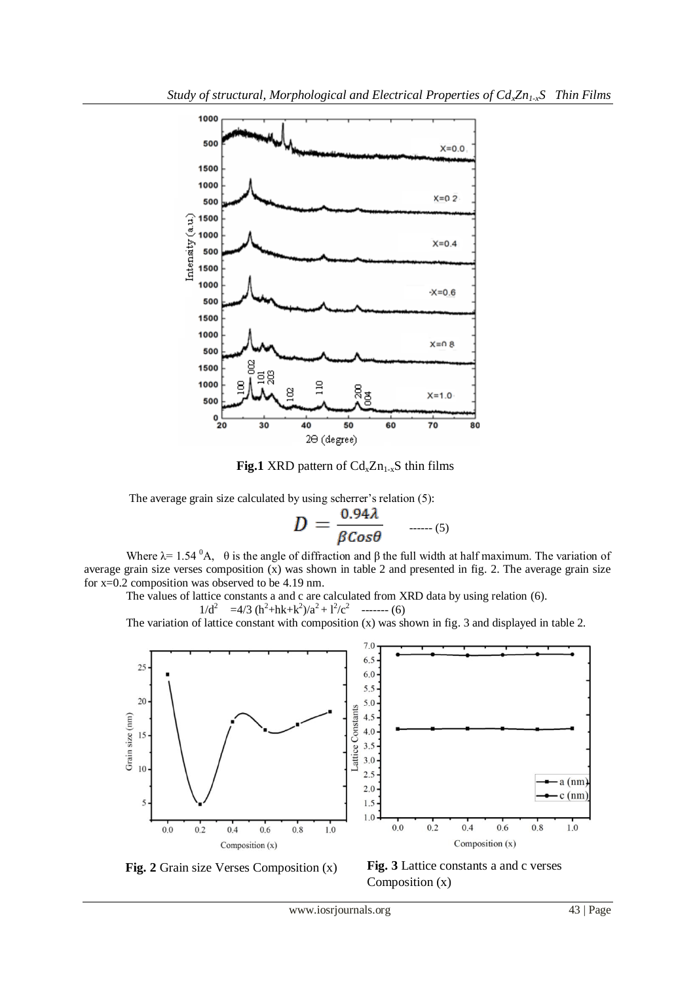

**Fig.1** XRD pattern of  $Cd_xZn_{1-x}S$  thin films

The average grain size calculated by using scherrer's relation (5):

$$
D = \frac{0.94\lambda}{\beta \cos \theta} \quad \dots \quad (5)
$$

Where  $\lambda$ = 1.54  ${}^{0}$ A,  $\theta$  is the angle of diffraction and β the full width at half maximum. The variation of average grain size verses composition  $\overline{x}$ ) was shown in table 2 and presented in fig. 2. The average grain size for x=0.2 composition was observed to be 4.19 nm.

The values of lattice constants a and c are calculated from XRD data by using relation (6).  $1/d^2 = 4/3 (\hbar^2 + \hbar k + k^2)/a^2 + 1^2/c^2$  ------- (6)

The variation of lattice constant with composition (x) was shown in fig. 3 and displayed in table 2.



**Fig. 2** Grain size Verses Composition (x)

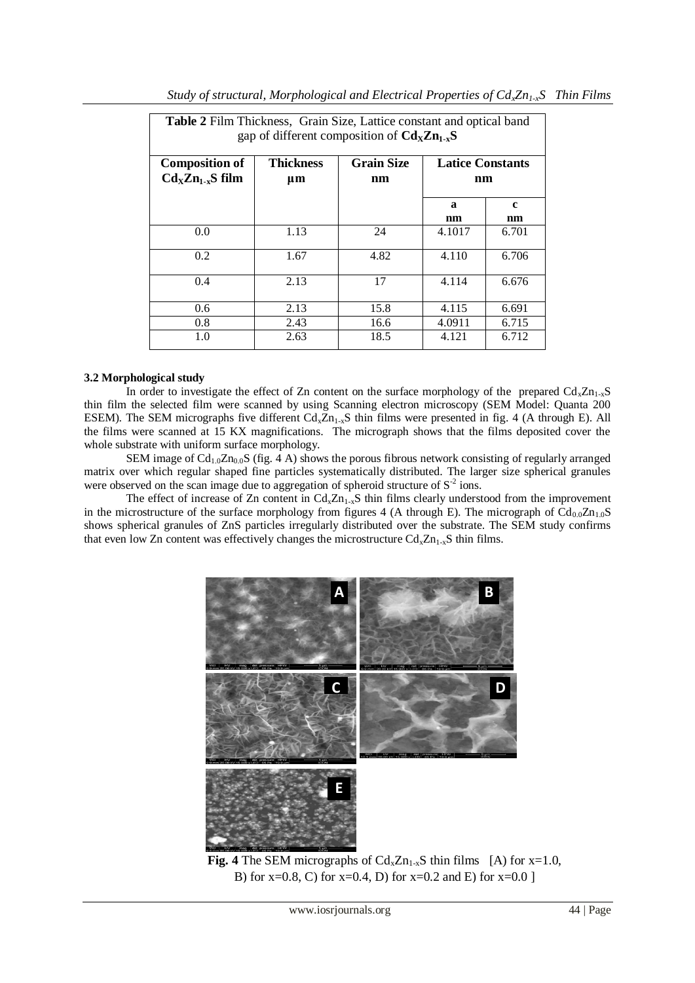| <b>Table 2</b> Film Thickness, Grain Size, Lattice constant and optical band<br>gap of different composition of $CdxZn1-xS$ |                        |                         |                               |                    |  |  |
|-----------------------------------------------------------------------------------------------------------------------------|------------------------|-------------------------|-------------------------------|--------------------|--|--|
| <b>Composition of</b><br>$CdxZn1-xS$ film                                                                                   | <b>Thickness</b><br>μm | <b>Grain Size</b><br>nm | <b>Latice Constants</b><br>nm |                    |  |  |
|                                                                                                                             |                        |                         | a<br>nm                       | $\mathbf{c}$<br>nm |  |  |
| 0.0                                                                                                                         | 1.13                   | 24                      | 4.1017                        | 6.701              |  |  |
| 0.2                                                                                                                         | 1.67                   | 4.82                    | 4.110                         | 6.706              |  |  |
| 0.4                                                                                                                         | 2.13                   | 17                      | 4.114                         | 6.676              |  |  |
| 0.6                                                                                                                         | 2.13                   | 15.8                    | 4.115                         | 6.691              |  |  |
| 0.8                                                                                                                         | 2.43                   | 16.6                    | 4.0911                        | 6.715              |  |  |
| 1.0                                                                                                                         | 2.63                   | 18.5                    | 4.121                         | 6.712              |  |  |

*Study of structural, Morphological and Electrical Properties of CdxZn1-xS Thin Films*

## **3.2 Morphological study**

In order to investigate the effect of Zn content on the surface morphology of the prepared  $Cd_xZn_{1-x}S$ thin film the selected film were scanned by using Scanning electron microscopy (SEM Model: Quanta 200 ESEM). The SEM micrographs five different  $Cd_x\overline{Zn}_{1-x}S$  thin films were presented in fig. 4 (A through E). All the films were scanned at 15 KX magnifications. The micrograph shows that the films deposited cover the whole substrate with uniform surface morphology.

SEM image of  $Cd_{1.0}Zn_{0.0}S$  (fig. 4 A) shows the porous fibrous network consisting of regularly arranged matrix over which regular shaped fine particles systematically distributed. The larger size spherical granules were observed on the scan image due to aggregation of spheroid structure of  $S<sup>2</sup>$  ions.

The effect of increase of Zn content in  $Cd_xZn_{1-x}S$  thin films clearly understood from the improvement in the microstructure of the surface morphology from figures 4 (A through E). The micrograph of  $Cd_{0.0}Zn_{1.0}S$ shows spherical granules of ZnS particles irregularly distributed over the substrate. The SEM study confirms that even low Zn content was effectively changes the microstructure  $Cd_xZn_{1-x}S$  thin films.



**Fig. 4** The SEM micrographs of  $Cd_xZn_{1-x}S$  thin films [A) for x=1.0, B) for  $x=0.8$ , C) for  $x=0.4$ , D) for  $x=0.2$  and E) for  $x=0.0$  ]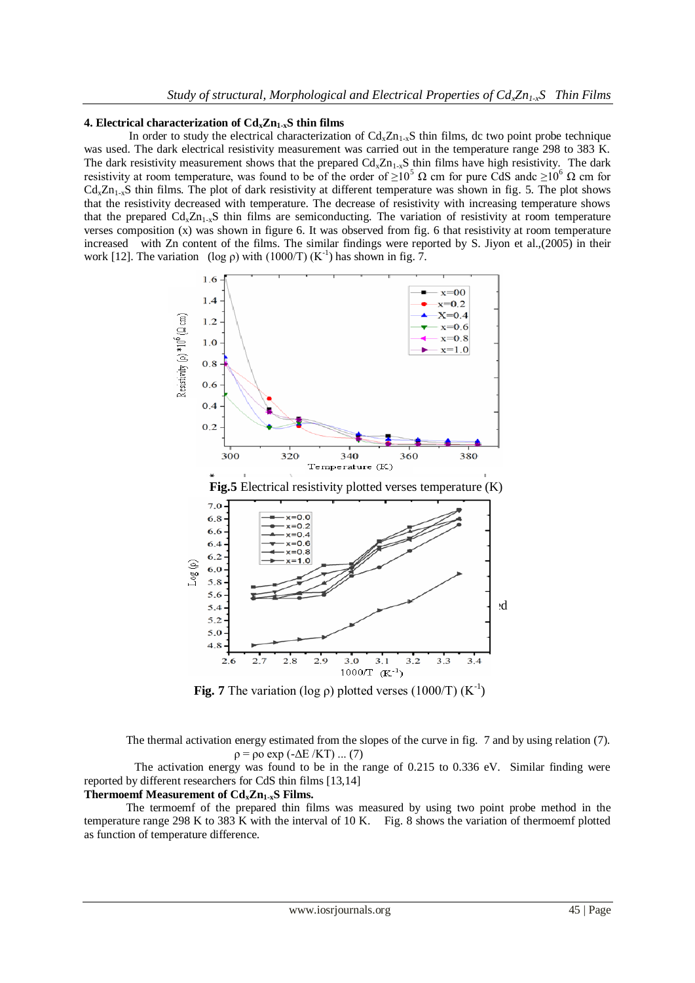#### **4. Electrical characterization of CdxZn1-xS thin films**

In order to study the electrical characterization of  $Cd_xZn_{1-x}S$  thin films, dc two point probe technique was used. The dark electrical resistivity measurement was carried out in the temperature range 298 to 383 K. The dark resistivity measurement shows that the prepared  $Cd_{x}Zn_{1-x}S$  thin films have high resistivity. The dark resistivity at room temperature, was found to be of the order of  $\geq 10^5 \Omega$  cm for pure CdS andc  $\geq 10^6 \Omega$  cm for  $Cd<sub>x</sub>Zn<sub>1-x</sub>S$  thin films. The plot of dark resistivity at different temperature was shown in fig. 5. The plot shows that the resistivity decreased with temperature. The decrease of resistivity with increasing temperature shows that the prepared  $Cd_xZn_{1-x}S$  thin films are semiconducting. The variation of resistivity at room temperature verses composition (x) was shown in figure 6. It was observed from fig. 6 that resistivity at room temperature increased with Zn content of the films. The similar findings were reported by S. Jiyon et al.,(2005) in their work [12]. The variation (log  $\rho$ ) with (1000/T) (K<sup>-1</sup>) has shown in fig. 7.



**Fig. 7** The variation (log  $\rho$ ) plotted verses (1000/T) (K<sup>-1</sup>)

The thermal activation energy estimated from the slopes of the curve in fig. 7 and by using relation (7).  $\rho = \rho \circ \exp(-\Delta E / K T) \dots (7)$ 

 The activation energy was found to be in the range of 0.215 to 0.336 eV. Similar finding were reported by different researchers for CdS thin films [13,14]

# **Thermoemf Measurement of CdxZn1-xS Films.**

The termoemf of the prepared thin films was measured by using two point probe method in the temperature range 298 K to 383 K with the interval of 10 K. Fig. 8 shows the variation of thermoemf plotted as function of temperature difference.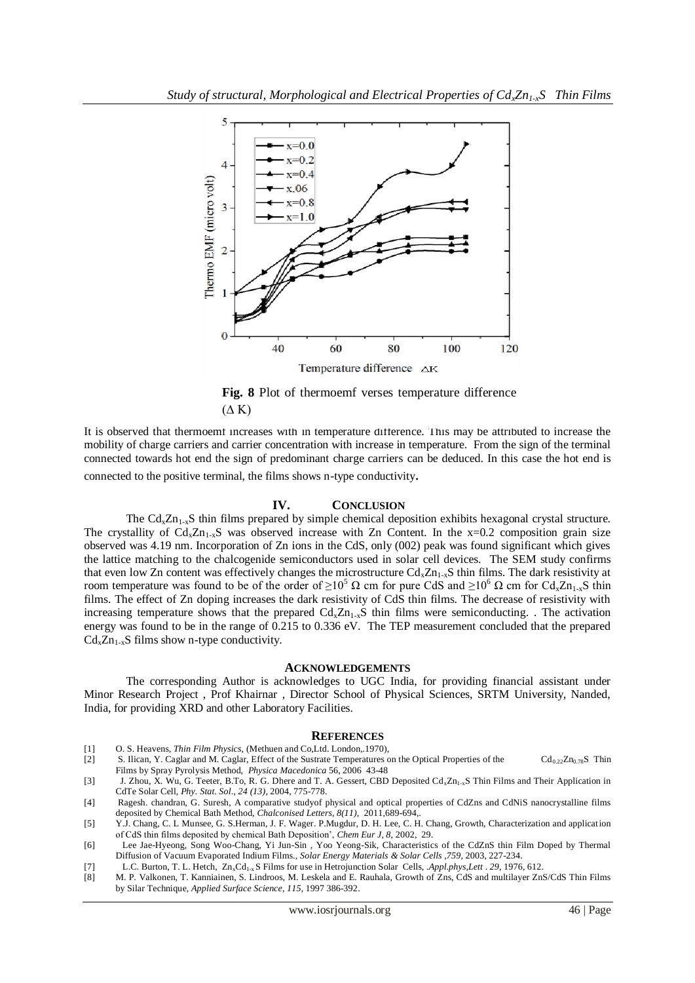

**Fig. 8** Plot of thermoemf verses temperature difference  $(\Delta K)$ 

It is observed that thermoemf increases with in temperature difference. This may be attributed to increase the mobility of charge carriers and carrier concentration with increase in temperature. From the sign of the terminal connected towards hot end the sign of predominant charge carriers can be deduced. In this case the hot end is

connected to the positive terminal, the films shows n-type conductivity.

### **IV. CONCLUSION**

The  $Cd<sub>x</sub>Zn<sub>1-x</sub>S$  thin films prepared by simple chemical deposition exhibits hexagonal crystal structure. The crystallity of  $Cd_xZn_{1-x}S$  was observed increase with Zn Content. In the x=0.2 composition grain size observed was 4.19 nm. Incorporation of Zn ions in the CdS, only (002) peak was found significant which gives the lattice matching to the chalcogenide semiconductors used in solar cell devices. The SEM study confirms that even low Zn content was effectively changes the microstructure  $Cd_{x}Zn_{1-x}S$  thin films. The dark resistivity at room temperature was found to be of the order of  $\geq 10^5 \Omega$  cm for pure CdS and  $\geq 10^6 \Omega$  cm for Cd<sub>x</sub>Zn<sub>1-x</sub>S thin films. The effect of Zn doping increases the dark resistivity of CdS thin films. The decrease of resistivity with increasing temperature shows that the prepared  $Cd_{x}Zn_{1-x}S$  thin films were semiconducting. The activation energy was found to be in the range of 0.215 to 0.336 eV. The TEP measurement concluded that the prepared  $Cd<sub>x</sub>Zn<sub>1-x</sub>S$  films show n-type conductivity.

#### **ACKNOWLEDGEMENTS**

The corresponding Author is acknowledges to UGC India, for providing financial assistant under Minor Research Project , Prof Khairnar , Director School of Physical Sciences, SRTM University, Nanded, India, for providing XRD and other Laboratory Facilities.

#### **REFERENCES**

- [1] O. S. Heavens, *Thin Film Physics,* (Methuen and Co,Ltd. London,.1970),
- [2] S. Ilican, Y. Caglar and M. Caglar, Effect of the Sustrate Temperatures on the Optical Properties of the Cd<sub>0.22</sub>Zn<sub>0.78</sub>S Thin Films by Spray Pyrolysis Method, *Physica Macedonica* 56, 2006 43-48
- [3] J. Zhou, X. Wu, G. Teeter, B.To, R. G. Dhere and T. A. Gessert, CBD Deposited Cd<sub>x</sub>Zn<sub>1-x</sub>S Thin Films and Their Application in CdTe Solar Cell, *Phy. Stat. Sol*., *24 (13)*, 2004, 775-778.
- [4] Ragesh. chandran, G. Suresh, A comparative studyof physical and optical properties of CdZns and CdNiS nanocrystalline films deposited by Chemical Bath Method, *Chalconised Letters, 8(11),* 2011,689-694,.
- [5] Y.J. Chang, C. L Munsee, G. S.Herman, J. F. Wager. P.Mugdur, D. H. Lee, C. H. Chang, Growth, Characterization and application of CdS thin films deposited by chemical Bath Deposition', *Chem Eur J*, *8*, 2002, 29.
- [6] Lee Jae-Hyeong, Song Woo-Chang, Yi Jun-Sin , Yoo Yeong-Sik, Characteristics of the CdZnS thin Film Doped by Thermal Diffusion of Vacuum Evaporated Indium Films., *Solar Energy Materials & Solar Cells* ,*759,* 2003, 227-234.
- [7] L.C. Burton, T. L. Hetch, Zn<sub>x</sub>Cd<sub>1-x</sub> S Films for use in Hetrojunction Solar Cells, *Appl.phys, Lett* . 29, 1976, 612. [8] M. P. Valkonen, T. Kanniainen, S. Lindroos, M. Leskela and E. Rauhala, Growth of Zns, CdS and
- [8] M. P. Valkonen, T. Kanniainen, S. Lindroos, M. Leskela and E. Rauhala, Growth of Zns, CdS and multilayer ZnS/CdS Thin Films by Silar Technique, *Applied Surface Science*, *115*, 1997 386-392.